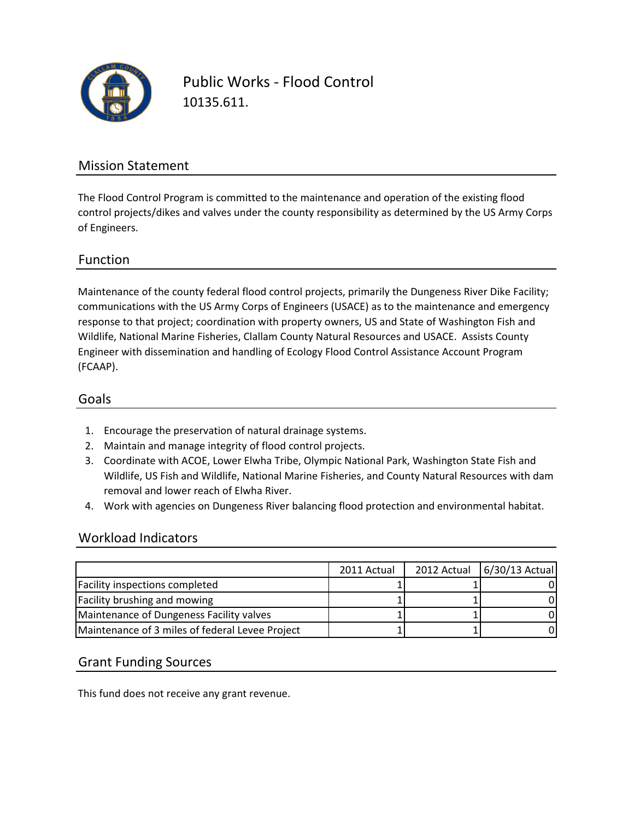

Public Works - Flood Control 10135.611.

### Mission Statement

The Flood Control Program is committed to the maintenance and operation of the existing flood control projects/dikes and valves under the county responsibility as determined by the US Army Corps of Engineers.

### Function

Maintenance of the county federal flood control projects, primarily the Dungeness River Dike Facility; communications with the US Army Corps of Engineers (USACE) as to the maintenance and emergency response to that project; coordination with property owners, US and State of Washington Fish and Wildlife, National Marine Fisheries, Clallam County Natural Resources and USACE. Assists County Engineer with dissemination and handling of Ecology Flood Control Assistance Account Program (FCAAP).

#### Goals

- 1. Encourage the preservation of natural drainage systems.
- 2. Maintain and manage integrity of flood control projects.
- 3. Coordinate with ACOE, Lower Elwha Tribe, Olympic National Park, Washington State Fish and Wildlife, US Fish and Wildlife, National Marine Fisheries, and County Natural Resources with dam removal and lower reach of Elwha River.
- 4. Work with agencies on Dungeness River balancing flood protection and environmental habitat.

### Workload Indicators

|                                                 | 2011 Actual | 2012 Actual | $6/30/13$ Actual |
|-------------------------------------------------|-------------|-------------|------------------|
| <b>Facility inspections completed</b>           |             |             |                  |
| <b>Facility brushing and mowing</b>             |             |             |                  |
| Maintenance of Dungeness Facility valves        |             |             |                  |
| Maintenance of 3 miles of federal Levee Project |             |             |                  |

## Grant Funding Sources

This fund does not receive any grant revenue.